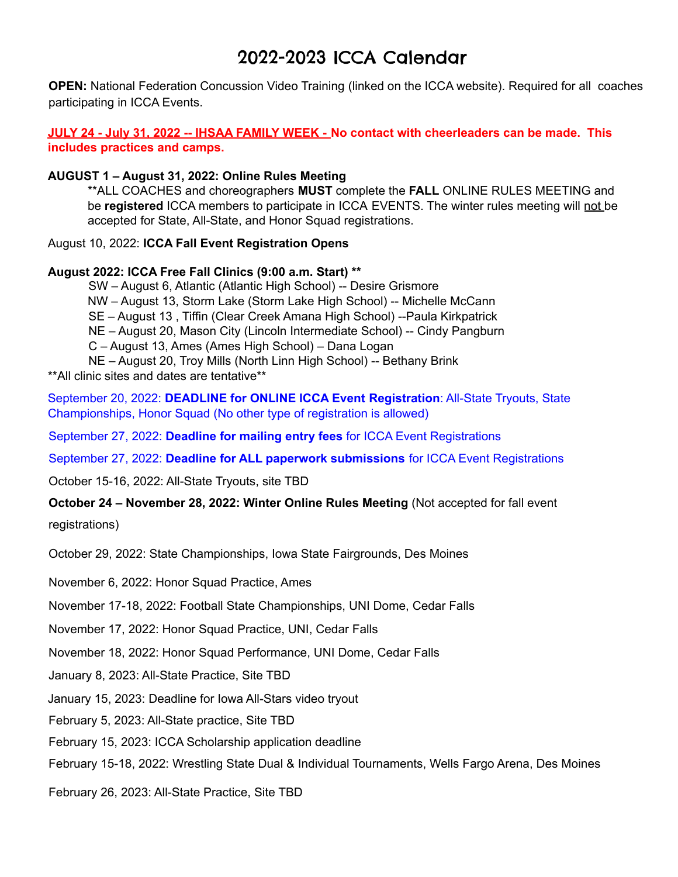## 2022-2023 ICCA Calendar

**OPEN:** National Federation Concussion Video Training (linked on the ICCA website). Required for all coaches participating in ICCA Events.

JULY 24 - July 31, 2022 -- IHSAA FAMILY WEEK - No contact with cheerleaders can be made. This **includes practices and camps.**

## **AUGUST 1 – August 31, 2022: Online Rules Meeting**

\*\*ALL COACHES and choreographers **MUST** complete the **FALL** ONLINE RULES MEETING and be **registered** ICCA members to participate in ICCA EVENTS. The winter rules meeting will not be accepted for State, All-State, and Honor Squad registrations.

## August 10, 2022: **ICCA Fall Event Registration Opens**

## **August 2022: ICCA Free Fall Clinics (9:00 a.m. Start) \*\***

SW – August 6, Atlantic (Atlantic High School) -- Desire Grismore NW – August 13, Storm Lake (Storm Lake High School) -- Michelle McCann SE – August 13 , Tiffin (Clear Creek Amana High School) --Paula Kirkpatrick NE – August 20, Mason City (Lincoln Intermediate School) -- Cindy Pangburn C – August 13, Ames (Ames High School) – Dana Logan NE – August 20, Troy Mills (North Linn High School) -- Bethany Brink \*\*All clinic sites and dates are tentative\*\*

September 20, 2022: **DEADLINE for ONLINE ICCA Event Registration**: All-State Tryouts, State Championships, Honor Squad (No other type of registration is allowed)

September 27, 2022: **Deadline for mailing entry fees** for ICCA Event Registrations

September 27, 2022: **Deadline for ALL paperwork submissions** for ICCA Event Registrations

October 15-16, 2022: All-State Tryouts, site TBD

**October 24 – November 28, 2022: Winter Online Rules Meeting** (Not accepted for fall event

registrations)

October 29, 2022: State Championships, Iowa State Fairgrounds, Des Moines

November 6, 2022: Honor Squad Practice, Ames

November 17-18, 2022: Football State Championships, UNI Dome, Cedar Falls

November 17, 2022: Honor Squad Practice, UNI, Cedar Falls

November 18, 2022: Honor Squad Performance, UNI Dome, Cedar Falls

January 8, 2023: All-State Practice, Site TBD

January 15, 2023: Deadline for Iowa All-Stars video tryout

February 5, 2023: All-State practice, Site TBD

February 15, 2023: ICCA Scholarship application deadline

February 15-18, 2022: Wrestling State Dual & Individual Tournaments, Wells Fargo Arena, Des Moines

February 26, 2023: All-State Practice, Site TBD